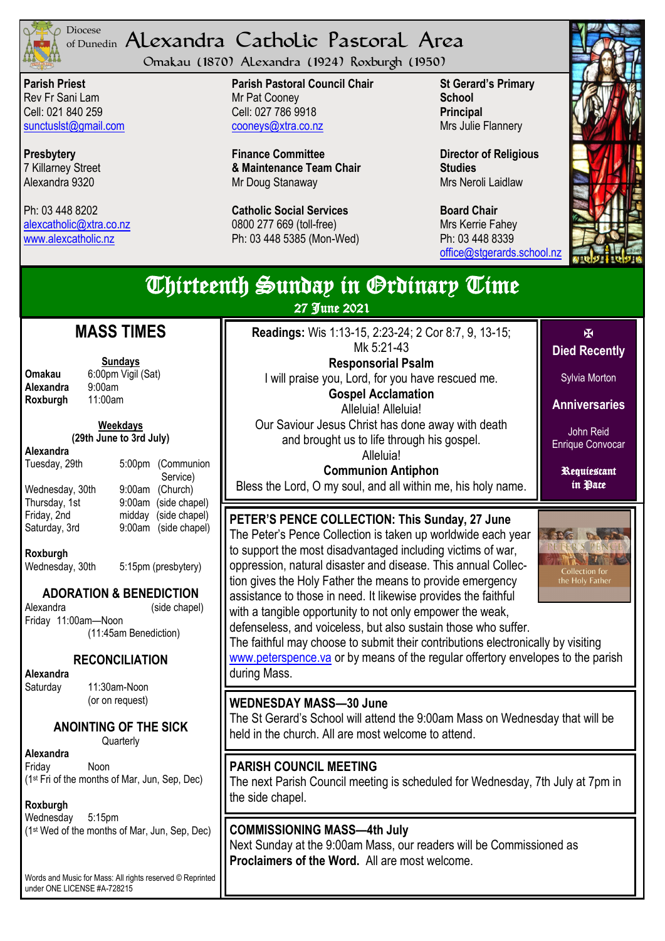

## <sup>Diocese</sup> Alexandra Catholic Pastoral Area of Dunedin

Omakau (1870) Alexandra (1924) Roxburgh (1950)

**Parish Priest** Rev Fr Sani Lam Cell: 021 840 259 [sunctuslst@gmail.com](mailto:mailto:sunctuslst@gmail.com)

**Presbytery** 7 Killarney Street Alexandra 9320

Ph: 03 448 8202 [alexcatholic@xtra.co.nz](mailto:mailto:alexcatholic@xtra.co.nz) www.alexcatholic.nz

**Parish Pastoral Council Chair** Mr Pat Cooney Cell: 027 786 9918 cooneys@xtra.co.nz

**Finance Committee & Maintenance Team Chair** Mr Doug Stanaway

**Catholic Social Services**  0800 277 669 (toll-free) Ph: 03 448 5385 (Mon-Wed)

**St Gerard's Primary School Principal** Mrs Julie Flannery

**Director of Religious Studies** Mrs Neroli Laidlaw

**Board Chair** Mrs Kerrie Fahey Ph: 03 448 8339 [office@stgerards.school.nz](mailto:mailto:office@stgerards.school.nz)



| <b>Thirteenth Sunday in Grdinary Time</b><br>27 June 2021                                                                                                                                                                                                                                                                                                                                                  |                                                                                                                                                                                                                                                                                                                                                                                                                                                                                                                                                                                                                                                                                                                                                                     |                                                                                                                                      |  |  |
|------------------------------------------------------------------------------------------------------------------------------------------------------------------------------------------------------------------------------------------------------------------------------------------------------------------------------------------------------------------------------------------------------------|---------------------------------------------------------------------------------------------------------------------------------------------------------------------------------------------------------------------------------------------------------------------------------------------------------------------------------------------------------------------------------------------------------------------------------------------------------------------------------------------------------------------------------------------------------------------------------------------------------------------------------------------------------------------------------------------------------------------------------------------------------------------|--------------------------------------------------------------------------------------------------------------------------------------|--|--|
| <b>MASS TIMES</b><br><b>Sundays</b><br>6:00pm Vigil (Sat)<br>Omakau<br>9:00am<br>Alexandra<br>Roxburgh<br>11:00am<br>Weekdays<br>(29th June to 3rd July)<br>Alexandra<br>5:00pm (Communion<br>Tuesday, 29th<br>Service)                                                                                                                                                                                    | <b>Readings:</b> Wis 1:13-15, 2:23-24; 2 Cor 8:7, 9, 13-15;<br>Mk 5:21-43<br><b>Responsorial Psalm</b><br>I will praise you, Lord, for you have rescued me.<br><b>Gospel Acclamation</b><br>Alleluia! Alleluia!<br>Our Saviour Jesus Christ has done away with death<br>and brought us to life through his gospel.<br>Alleluia!<br><b>Communion Antiphon</b>                                                                                                                                                                                                                                                                                                                                                                                                        | 区<br><b>Died Recently</b><br>Sylvia Morton<br><b>Anniversaries</b><br>John Reid<br><b>Enrique Convocar</b><br>Requiestant<br>in Pace |  |  |
| 9:00am (Church)<br>Wednesday, 30th<br>9:00am (side chapel)<br>Thursday, 1st<br>Friday, 2nd<br>(side chapel)<br>midday<br>9:00am (side chapel)<br>Saturday, 3rd<br>Roxburgh<br>5:15pm (presbytery)<br>Wednesday, 30th<br><b>ADORATION &amp; BENEDICTION</b><br>Alexandra<br>(side chapel)<br>Friday 11:00am-Noon<br>(11:45am Benediction)<br><b>RECONCILIATION</b><br>Alexandra<br>11:30am-Noon<br>Saturday | Bless the Lord, O my soul, and all within me, his holy name.<br>PETER'S PENCE COLLECTION: This Sunday, 27 June<br>The Peter's Pence Collection is taken up worldwide each year<br>to support the most disadvantaged including victims of war,<br>oppression, natural disaster and disease. This annual Collec-<br>tion gives the Holy Father the means to provide emergency<br>assistance to those in need. It likewise provides the faithful<br>with a tangible opportunity to not only empower the weak,<br>defenseless, and voiceless, but also sustain those who suffer.<br>The faithful may choose to submit their contributions electronically by visiting<br>www.peterspence.va or by means of the regular offertory envelopes to the parish<br>during Mass. | <b>SIANG</b><br>ER'S PENC<br>Collection for<br>the Holy Father                                                                       |  |  |
| (or on request)<br>ANOINTING OF THE SICK<br>Quarterly                                                                                                                                                                                                                                                                                                                                                      | <b>WEDNESDAY MASS-30 June</b><br>The St Gerard's School will attend the 9:00am Mass on Wednesday that will be<br>held in the church. All are most welcome to attend.                                                                                                                                                                                                                                                                                                                                                                                                                                                                                                                                                                                                |                                                                                                                                      |  |  |
| Alexandra<br>Friday<br><b>Noon</b><br>(1st Fri of the months of Mar, Jun, Sep, Dec)<br>Roxburgh                                                                                                                                                                                                                                                                                                            | <b>PARISH COUNCIL MEETING</b><br>The next Parish Council meeting is scheduled for Wednesday, 7th July at 7pm in<br>the side chapel.                                                                                                                                                                                                                                                                                                                                                                                                                                                                                                                                                                                                                                 |                                                                                                                                      |  |  |
| Wednesday<br>5:15pm<br>(1st Wed of the months of Mar, Jun, Sep, Dec)<br>Words and Music for Mass: All rights reserved © Reprinted<br>under ONE LICENSE #A-728215                                                                                                                                                                                                                                           | <b>COMMISSIONING MASS-4th July</b><br>Next Sunday at the 9:00am Mass, our readers will be Commissioned as<br>Proclaimers of the Word. All are most welcome.                                                                                                                                                                                                                                                                                                                                                                                                                                                                                                                                                                                                         |                                                                                                                                      |  |  |